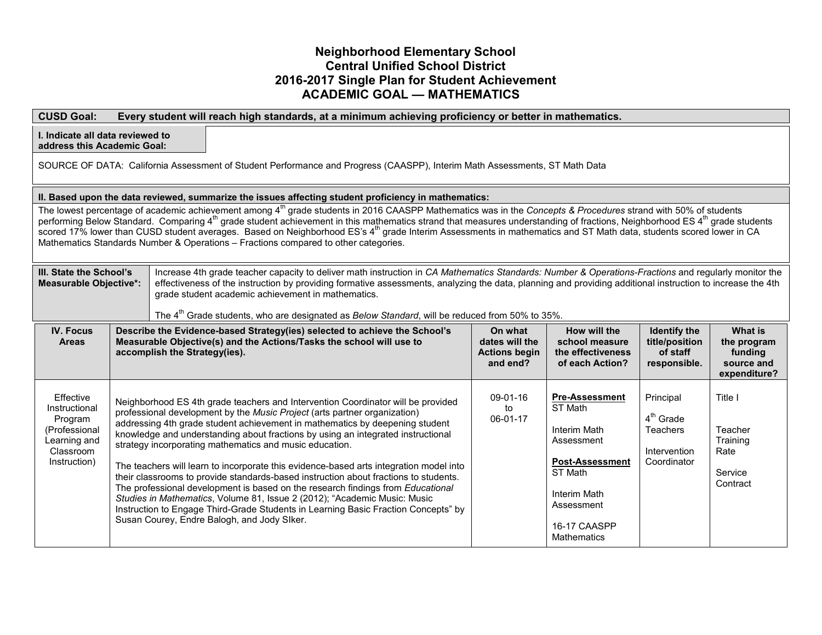### **Neighborhood Elementary School Central Unified School District 2016-2017 Single Plan for Student Achievement ACADEMIC GOAL — MATHEMATICS**

| <b>CUSD Goal:</b><br>Every student will reach high standards, at a minimum achieving proficiency or better in mathematics.                                                                                                                                                                                                                                                                                                                                                                                                                                                                                                                                |                                                                                                                                                                                                                                                                                                                                                                                                                                                                                                                                                            |                               |                                                                                                        |                                                                                                                                                                                                                                                                                                                                                                                                                                                                                                                                                                                           |                                                                                                                                                                              |                                                               |                                                                                                                                                                                |                                                                                      |                                                                        |
|-----------------------------------------------------------------------------------------------------------------------------------------------------------------------------------------------------------------------------------------------------------------------------------------------------------------------------------------------------------------------------------------------------------------------------------------------------------------------------------------------------------------------------------------------------------------------------------------------------------------------------------------------------------|------------------------------------------------------------------------------------------------------------------------------------------------------------------------------------------------------------------------------------------------------------------------------------------------------------------------------------------------------------------------------------------------------------------------------------------------------------------------------------------------------------------------------------------------------------|-------------------------------|--------------------------------------------------------------------------------------------------------|-------------------------------------------------------------------------------------------------------------------------------------------------------------------------------------------------------------------------------------------------------------------------------------------------------------------------------------------------------------------------------------------------------------------------------------------------------------------------------------------------------------------------------------------------------------------------------------------|------------------------------------------------------------------------------------------------------------------------------------------------------------------------------|---------------------------------------------------------------|--------------------------------------------------------------------------------------------------------------------------------------------------------------------------------|--------------------------------------------------------------------------------------|------------------------------------------------------------------------|
| I. Indicate all data reviewed to<br>address this Academic Goal:                                                                                                                                                                                                                                                                                                                                                                                                                                                                                                                                                                                           |                                                                                                                                                                                                                                                                                                                                                                                                                                                                                                                                                            |                               |                                                                                                        |                                                                                                                                                                                                                                                                                                                                                                                                                                                                                                                                                                                           |                                                                                                                                                                              |                                                               |                                                                                                                                                                                |                                                                                      |                                                                        |
| SOURCE OF DATA: California Assessment of Student Performance and Progress (CAASPP), Interim Math Assessments, ST Math Data                                                                                                                                                                                                                                                                                                                                                                                                                                                                                                                                |                                                                                                                                                                                                                                                                                                                                                                                                                                                                                                                                                            |                               |                                                                                                        |                                                                                                                                                                                                                                                                                                                                                                                                                                                                                                                                                                                           |                                                                                                                                                                              |                                                               |                                                                                                                                                                                |                                                                                      |                                                                        |
| II. Based upon the data reviewed, summarize the issues affecting student proficiency in mathematics:                                                                                                                                                                                                                                                                                                                                                                                                                                                                                                                                                      |                                                                                                                                                                                                                                                                                                                                                                                                                                                                                                                                                            |                               |                                                                                                        |                                                                                                                                                                                                                                                                                                                                                                                                                                                                                                                                                                                           |                                                                                                                                                                              |                                                               |                                                                                                                                                                                |                                                                                      |                                                                        |
| The lowest percentage of academic achievement among 4 <sup>th</sup> grade students in 2016 CAASPP Mathematics was in the Concepts & Procedures strand with 50% of students<br>performing Below Standard. Comparing 4 <sup>th</sup> grade student achievement in this mathematics strand that measures understanding of fractions, Neighborhood ES 4 <sup>th</sup> grade students<br>scored 17% lower than CUSD student averages. Based on Neighborhood ES's 4 <sup>th</sup> grade Interim Assessments in mathematics and ST Math data, students scored lower in CA<br>Mathematics Standards Number & Operations - Fractions compared to other categories. |                                                                                                                                                                                                                                                                                                                                                                                                                                                                                                                                                            |                               |                                                                                                        |                                                                                                                                                                                                                                                                                                                                                                                                                                                                                                                                                                                           |                                                                                                                                                                              |                                                               |                                                                                                                                                                                |                                                                                      |                                                                        |
|                                                                                                                                                                                                                                                                                                                                                                                                                                                                                                                                                                                                                                                           | III. State the School's<br>Increase 4th grade teacher capacity to deliver math instruction in CA Mathematics Standards: Number & Operations-Fractions and regularly monitor the<br>effectiveness of the instruction by providing formative assessments, analyzing the data, planning and providing additional instruction to increase the 4th<br><b>Measurable Objective*:</b><br>grade student academic achievement in mathematics.<br>The 4 <sup>th</sup> Grade students, who are designated as <i>Below Standard</i> , will be reduced from 50% to 35%. |                               |                                                                                                        |                                                                                                                                                                                                                                                                                                                                                                                                                                                                                                                                                                                           |                                                                                                                                                                              |                                                               |                                                                                                                                                                                |                                                                                      |                                                                        |
| <b>IV. Focus</b><br><b>Areas</b>                                                                                                                                                                                                                                                                                                                                                                                                                                                                                                                                                                                                                          |                                                                                                                                                                                                                                                                                                                                                                                                                                                                                                                                                            | accomplish the Strategy(ies). |                                                                                                        | Describe the Evidence-based Strategy(ies) selected to achieve the School's<br>Measurable Objective(s) and the Actions/Tasks the school will use to                                                                                                                                                                                                                                                                                                                                                                                                                                        |                                                                                                                                                                              | On what<br>dates will the<br><b>Actions begin</b><br>and end? | How will the<br>school measure<br>the effectiveness<br>of each Action?                                                                                                         | <b>Identify the</b><br>title/position<br>of staff<br>responsible.                    | <b>What is</b><br>the program<br>funding<br>source and<br>expenditure? |
| Effective<br>Instructional<br>Program<br>(Professional<br>Learning and<br>Classroom<br>Instruction)                                                                                                                                                                                                                                                                                                                                                                                                                                                                                                                                                       |                                                                                                                                                                                                                                                                                                                                                                                                                                                                                                                                                            |                               | strategy incorporating mathematics and music education.<br>Susan Courey, Endre Balogh, and Jody Siker. | Neighborhood ES 4th grade teachers and Intervention Coordinator will be provided<br>professional development by the Music Project (arts partner organization)<br>addressing 4th grade student achievement in mathematics by deepening student<br>knowledge and understanding about fractions by using an integrated instructional<br>their classrooms to provide standards-based instruction about fractions to students.<br>The professional development is based on the research findings from Educational<br>Studies in Mathematics, Volume 81, Issue 2 (2012); "Academic Music: Music | The teachers will learn to incorporate this evidence-based arts integration model into<br>Instruction to Engage Third-Grade Students in Learning Basic Fraction Concepts" by | 09-01-16<br>to<br>06-01-17                                    | <b>Pre-Assessment</b><br>ST Math<br>Interim Math<br>Assessment<br><b>Post-Assessment</b><br><b>ST Math</b><br>Interim Math<br>Assessment<br>16-17 CAASPP<br><b>Mathematics</b> | Principal<br>4 <sup>th</sup> Grade<br><b>Teachers</b><br>Intervention<br>Coordinator | Title I<br>Teacher<br>Training<br>Rate<br>Service<br>Contract          |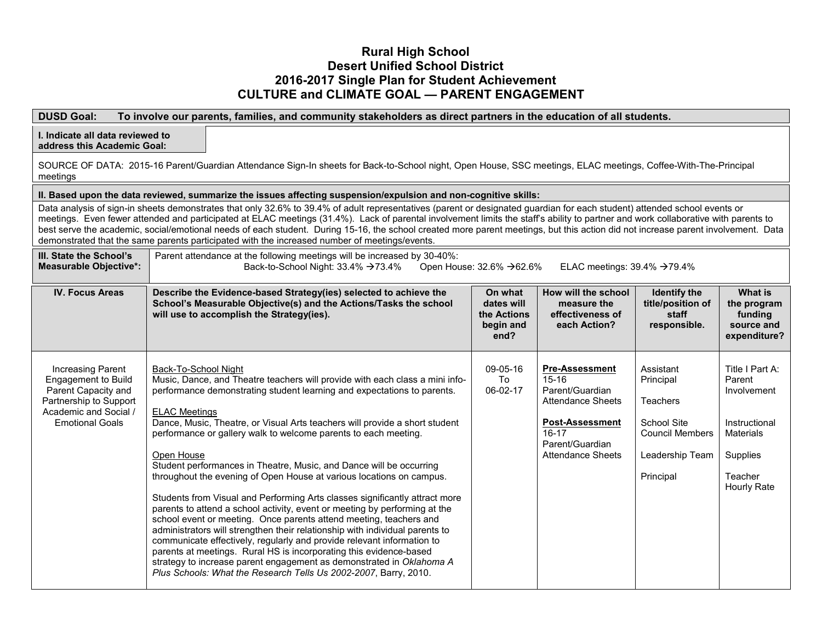### **Rural High School Desert Unified School District 2016-2017 Single Plan for Student Achievement CULTURE and CLIMATE GOAL — PARENT ENGAGEMENT**

### **DUSD Goal: To involve our parents, families, and community stakeholders as direct partners in the education of all students.**

# **I. Indicate all data reviewed to**

**address this Academic Goal:**

SOURCE OF DATA: 2015-16 Parent/Guardian Attendance Sign-In sheets for Back-to-School night, Open House, SSC meetings, ELAC meetings, Coffee-With-The-Principal meetings

#### **II. Based upon the data reviewed, summarize the issues affecting suspension/expulsion and non-cognitive skills:**

Data analysis of sign-in sheets demonstrates that only 32.6% to 39.4% of adult representatives (parent or designated guardian for each student) attended school events or meetings. Even fewer attended and participated at ELAC meetings (31.4%). Lack of parental involvement limits the staff's ability to partner and work collaborative with parents to best serve the academic, social/emotional needs of each student. During 15-16, the school created more parent meetings, but this action did not increase parent involvement. Data demonstrated that the same parents participated with the increased number of meetings/events.

| III. State the School's<br><b>Measurable Objective*:</b>                                                                                     | Parent attendance at the following meetings will be increased by 30-40%:<br>Open House: 32.6% →62.6%<br>ELAC meetings: $39.4\% \rightarrow 79.4\%$<br>Back-to-School Night: $33.4\% \rightarrow 73.4\%$                                                                                                                                                                                                                                                                                                                                                                                                                                                                                                                                                                                                                                                                                                                                                                                                                                                                                                                               |                                                           |                                                                                                                                                                |                                                                                                                    |                                                                                                                     |  |  |  |
|----------------------------------------------------------------------------------------------------------------------------------------------|---------------------------------------------------------------------------------------------------------------------------------------------------------------------------------------------------------------------------------------------------------------------------------------------------------------------------------------------------------------------------------------------------------------------------------------------------------------------------------------------------------------------------------------------------------------------------------------------------------------------------------------------------------------------------------------------------------------------------------------------------------------------------------------------------------------------------------------------------------------------------------------------------------------------------------------------------------------------------------------------------------------------------------------------------------------------------------------------------------------------------------------|-----------------------------------------------------------|----------------------------------------------------------------------------------------------------------------------------------------------------------------|--------------------------------------------------------------------------------------------------------------------|---------------------------------------------------------------------------------------------------------------------|--|--|--|
| <b>IV. Focus Areas</b>                                                                                                                       | Describe the Evidence-based Strategy(ies) selected to achieve the<br>School's Measurable Objective(s) and the Actions/Tasks the school<br>will use to accomplish the Strategy(ies).                                                                                                                                                                                                                                                                                                                                                                                                                                                                                                                                                                                                                                                                                                                                                                                                                                                                                                                                                   | On what<br>dates will<br>the Actions<br>begin and<br>end? | How will the school<br>measure the<br>effectiveness of<br>each Action?                                                                                         | <b>Identify the</b><br>title/position of<br>staff<br>responsible.                                                  | What is<br>the program<br>funding<br>source and<br>expenditure?                                                     |  |  |  |
| Increasing Parent<br>Engagement to Build<br>Parent Capacity and<br>Partnership to Support<br>Academic and Social /<br><b>Emotional Goals</b> | Back-To-School Night<br>Music, Dance, and Theatre teachers will provide with each class a mini info-<br>performance demonstrating student learning and expectations to parents.<br><b>ELAC Meetings</b><br>Dance, Music, Theatre, or Visual Arts teachers will provide a short student<br>performance or gallery walk to welcome parents to each meeting.<br>Open House<br>Student performances in Theatre, Music, and Dance will be occurring<br>throughout the evening of Open House at various locations on campus.<br>Students from Visual and Performing Arts classes significantly attract more<br>parents to attend a school activity, event or meeting by performing at the<br>school event or meeting. Once parents attend meeting, teachers and<br>administrators will strengthen their relationship with individual parents to<br>communicate effectively, regularly and provide relevant information to<br>parents at meetings. Rural HS is incorporating this evidence-based<br>strategy to increase parent engagement as demonstrated in Oklahoma A<br>Plus Schools: What the Research Tells Us 2002-2007, Barry, 2010. | $09 - 05 - 16$<br>To<br>06-02-17                          | <b>Pre-Assessment</b><br>$15 - 16$<br>Parent/Guardian<br>Attendance Sheets<br><b>Post-Assessment</b><br>$16-17$<br>Parent/Guardian<br><b>Attendance Sheets</b> | Assistant<br>Principal<br><b>Teachers</b><br>School Site<br><b>Council Members</b><br>Leadership Team<br>Principal | Title I Part A:<br>Parent<br>Involvement<br>Instructional<br><b>Materials</b><br>Supplies<br>Teacher<br>Hourly Rate |  |  |  |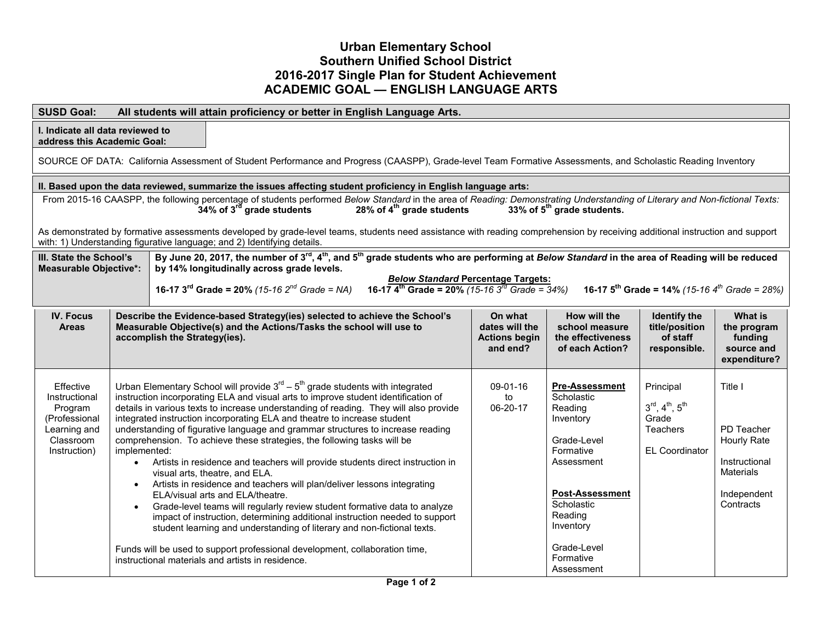### **Urban Elementary School Southern Unified School District 2016-2017 Single Plan for Student Achievement ACADEMIC GOAL — ENGLISH LANGUAGE ARTS**

| <b>SUSD Goal:</b><br>All students will attain proficiency or better in English Language Arts.                                                                                                                                                                                                                                                                                                                                                                                                                                                                                                                                                                                                                                                                                                                                                                                                                                                                                                                                                                                                                                                                                                                                   |                                                                                                                                                              |                               |                                                                                                                         |                                                                                                                                                                                                                                                                                                                                                                                                                                                                                                                                                                                                                                                                                                                                                                                                                                                                                                                                                                                            |  |                                                               |                                                                                                                                                                                                                 |                                                                                                                 |                                                                                                |
|---------------------------------------------------------------------------------------------------------------------------------------------------------------------------------------------------------------------------------------------------------------------------------------------------------------------------------------------------------------------------------------------------------------------------------------------------------------------------------------------------------------------------------------------------------------------------------------------------------------------------------------------------------------------------------------------------------------------------------------------------------------------------------------------------------------------------------------------------------------------------------------------------------------------------------------------------------------------------------------------------------------------------------------------------------------------------------------------------------------------------------------------------------------------------------------------------------------------------------|--------------------------------------------------------------------------------------------------------------------------------------------------------------|-------------------------------|-------------------------------------------------------------------------------------------------------------------------|--------------------------------------------------------------------------------------------------------------------------------------------------------------------------------------------------------------------------------------------------------------------------------------------------------------------------------------------------------------------------------------------------------------------------------------------------------------------------------------------------------------------------------------------------------------------------------------------------------------------------------------------------------------------------------------------------------------------------------------------------------------------------------------------------------------------------------------------------------------------------------------------------------------------------------------------------------------------------------------------|--|---------------------------------------------------------------|-----------------------------------------------------------------------------------------------------------------------------------------------------------------------------------------------------------------|-----------------------------------------------------------------------------------------------------------------|------------------------------------------------------------------------------------------------|
|                                                                                                                                                                                                                                                                                                                                                                                                                                                                                                                                                                                                                                                                                                                                                                                                                                                                                                                                                                                                                                                                                                                                                                                                                                 | I. Indicate all data reviewed to<br>address this Academic Goal:                                                                                              |                               |                                                                                                                         |                                                                                                                                                                                                                                                                                                                                                                                                                                                                                                                                                                                                                                                                                                                                                                                                                                                                                                                                                                                            |  |                                                               |                                                                                                                                                                                                                 |                                                                                                                 |                                                                                                |
|                                                                                                                                                                                                                                                                                                                                                                                                                                                                                                                                                                                                                                                                                                                                                                                                                                                                                                                                                                                                                                                                                                                                                                                                                                 | SOURCE OF DATA: California Assessment of Student Performance and Progress (CAASPP), Grade-level Team Formative Assessments, and Scholastic Reading Inventory |                               |                                                                                                                         |                                                                                                                                                                                                                                                                                                                                                                                                                                                                                                                                                                                                                                                                                                                                                                                                                                                                                                                                                                                            |  |                                                               |                                                                                                                                                                                                                 |                                                                                                                 |                                                                                                |
| II. Based upon the data reviewed, summarize the issues affecting student proficiency in English language arts:<br>From 2015-16 CAASPP, the following percentage of students performed Below Standard in the area of Reading: Demonstrating Understanding of Literary and Non-fictional Texts:<br>34% of 3 <sup>rd</sup> grade students<br>28% of 4 <sup>th</sup> grade students<br>33% of 5 <sup>th</sup> grade students.<br>As demonstrated by formative assessments developed by grade-level teams, students need assistance with reading comprehension by receiving additional instruction and support<br>with: 1) Understanding figurative language; and 2) Identifying details.<br>By June 20, 2017, the number of 3 <sup>rd</sup> , 4 <sup>th</sup> , and 5 <sup>th</sup> grade students who are performing at Below Standard in the area of Reading will be reduced<br>III. State the School's<br>by 14% longitudinally across grade levels.<br><b>Measurable Objective*:</b><br><b>Below Standard Percentage Targets:</b><br>16-17 $4^{\text{th}}$ Grade = 20% (15-16 $3^{\text{rd}}$ Grade = 34%)<br>16-17 $3^{rd}$ Grade = 20% (15-16 $2^{nd}$ Grade = NA)<br>16-17 $5^{th}$ Grade = 14% (15-16 $4^{th}$ Grade = 28%) |                                                                                                                                                              |                               |                                                                                                                         |                                                                                                                                                                                                                                                                                                                                                                                                                                                                                                                                                                                                                                                                                                                                                                                                                                                                                                                                                                                            |  |                                                               |                                                                                                                                                                                                                 |                                                                                                                 |                                                                                                |
| <b>IV. Focus</b><br><b>Areas</b>                                                                                                                                                                                                                                                                                                                                                                                                                                                                                                                                                                                                                                                                                                                                                                                                                                                                                                                                                                                                                                                                                                                                                                                                |                                                                                                                                                              | accomplish the Strategy(ies). |                                                                                                                         | Describe the Evidence-based Strategy(ies) selected to achieve the School's<br>Measurable Objective(s) and the Actions/Tasks the school will use to                                                                                                                                                                                                                                                                                                                                                                                                                                                                                                                                                                                                                                                                                                                                                                                                                                         |  | On what<br>dates will the<br><b>Actions begin</b><br>and end? | How will the<br>school measure<br>the effectiveness<br>of each Action?                                                                                                                                          | <b>Identify the</b><br>title/position<br>of staff<br>responsible.                                               | <b>What is</b><br>the program<br>funding<br>source and<br>expenditure?                         |
| Effective<br>Instructional<br>Program<br>(Professional<br>Learning and<br>Classroom<br>Instruction)                                                                                                                                                                                                                                                                                                                                                                                                                                                                                                                                                                                                                                                                                                                                                                                                                                                                                                                                                                                                                                                                                                                             | implemented:<br>$\bullet$                                                                                                                                    |                               | visual arts, theatre, and ELA.<br>ELA/visual arts and ELA/theatre.<br>instructional materials and artists in residence. | Urban Elementary School will provide $3rd - 5th$ grade students with integrated<br>instruction incorporating ELA and visual arts to improve student identification of<br>details in various texts to increase understanding of reading. They will also provide<br>integrated instruction incorporating ELA and theatre to increase student<br>understanding of figurative language and grammar structures to increase reading<br>comprehension. To achieve these strategies, the following tasks will be<br>Artists in residence and teachers will provide students direct instruction in<br>Artists in residence and teachers will plan/deliver lessons integrating<br>Grade-level teams will regularly review student formative data to analyze<br>impact of instruction, determining additional instruction needed to support<br>student learning and understanding of literary and non-fictional texts.<br>Funds will be used to support professional development, collaboration time, |  | $09-01-16$<br>to<br>06-20-17                                  | <b>Pre-Assessment</b><br>Scholastic<br>Reading<br>Inventory<br>Grade-Level<br>Formative<br>Assessment<br><b>Post-Assessment</b><br>Scholastic<br>Reading<br>Inventory<br>Grade-Level<br>Formative<br>Assessment | Principal<br>$3^{\text{rd}}, 4^{\text{th}}, 5^{\text{th}}$<br>Grade<br><b>Teachers</b><br><b>EL Coordinator</b> | Title I<br>PD Teacher<br>Hourly Rate<br>Instructional<br>Materials<br>Independent<br>Contracts |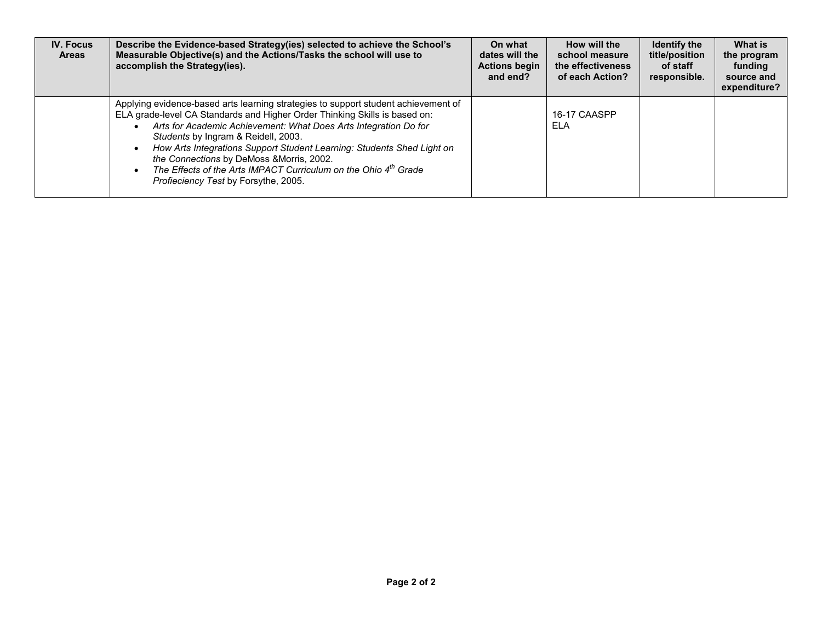| <b>IV. Focus</b><br><b>Areas</b> | Describe the Evidence-based Strategy(ies) selected to achieve the School's<br>Measurable Objective(s) and the Actions/Tasks the school will use to<br>accomplish the Strategy(ies).                                                                                                                                                                                                                                                                                                                                       | On what<br>dates will the<br><b>Actions begin</b><br>and end? | How will the<br>school measure<br>the effectiveness<br>of each Action? | <b>Identify the</b><br>title/position<br>of staff<br>responsible. | What is<br>the program<br>funding<br>source and<br>expenditure? |
|----------------------------------|---------------------------------------------------------------------------------------------------------------------------------------------------------------------------------------------------------------------------------------------------------------------------------------------------------------------------------------------------------------------------------------------------------------------------------------------------------------------------------------------------------------------------|---------------------------------------------------------------|------------------------------------------------------------------------|-------------------------------------------------------------------|-----------------------------------------------------------------|
|                                  | Applying evidence-based arts learning strategies to support student achievement of<br>ELA grade-level CA Standards and Higher Order Thinking Skills is based on:<br>Arts for Academic Achievement: What Does Arts Integration Do for<br>Students by Ingram & Reidell, 2003.<br>How Arts Integrations Support Student Learning: Students Shed Light on<br>the Connections by DeMoss & Morris, 2002.<br>The Effects of the Arts IMPACT Curriculum on the Ohio 4 <sup>th</sup> Grade<br>Profieciency Test by Forsythe, 2005. |                                                               | 16-17 CAASPP<br>ELA                                                    |                                                                   |                                                                 |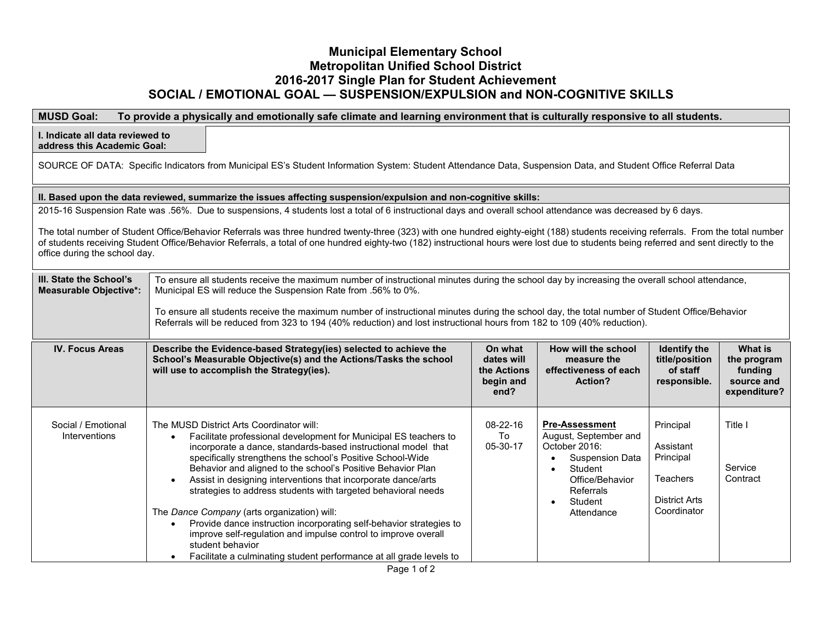### **Municipal Elementary School Metropolitan Unified School District 2016-2017 Single Plan for Student Achievement SOCIAL / EMOTIONAL GOAL — SUSPENSION/EXPULSION and NON-COGNITIVE SKILLS**

### **MUSD Goal: To provide a physically and emotionally safe climate and learning environment that is culturally responsive to all students.**

**I. Indicate all data reviewed to address this Academic Goal:** SOURCE OF DATA: Specific Indicators from Municipal ES's Student Information System: Student Attendance Data, Suspension Data, and Student Office Referral Data **II. Based upon the data reviewed, summarize the issues affecting suspension/expulsion and non-cognitive skills:** 2015-16 Suspension Rate was .56%. Due to suspensions, 4 students lost a total of 6 instructional days and overall school attendance was decreased by 6 days. The total number of Student Office/Behavior Referrals was three hundred twenty-three (323) with one hundred eighty-eight (188) students receiving referrals. From the total number of students receiving Student Office/Behavior Referrals, a total of one hundred eighty-two (182) instructional hours were lost due to students being referred and sent directly to the office during the school day. **III. State the School's Measurable Objective\*:** To ensure all students receive the maximum number of instructional minutes during the school day by increasing the overall school attendance, Municipal ES will reduce the Suspension Rate from .56% to 0%. To ensure all students receive the maximum number of instructional minutes during the school day, the total number of Student Office/Behavior Referrals will be reduced from 323 to 194 (40% reduction) and lost instructional hours from 182 to 109 (40% reduction). **IV. Focus Areas Describe the Evidence-based Strategy(ies) selected to achieve the School's Measurable Objective(s) and the Actions/Tasks the school will use to accomplish the Strategy(ies). On what dates will the Actions begin and end? How will the school measure the effectiveness of each Action? Identify the title/position of staff responsible. What is the program funding source and expenditure?** Social / Emotional Interventions The MUSD District Arts Coordinator will: • Facilitate professional development for Municipal ES teachers to incorporate a dance, standards-based instructional model that specifically strengthens the school's Positive School-Wide Behavior and aligned to the school's Positive Behavior Plan • Assist in designing interventions that incorporate dance/arts strategies to address students with targeted behavioral needs The *Dance Company* (arts organization) will: • Provide dance instruction incorporating self-behavior strategies to improve self-regulation and impulse control to improve overall student behavior • Facilitate a culminating student performance at all grade levels to 08-22-16 To 05-30-17 **Pre-Assessment** August, September and October 2016: • Suspension Data • Student Office/Behavior Referrals • Student Attendance Principal Assistant Principal **Teachers** District Arts Coordinator Title I Service **Contract**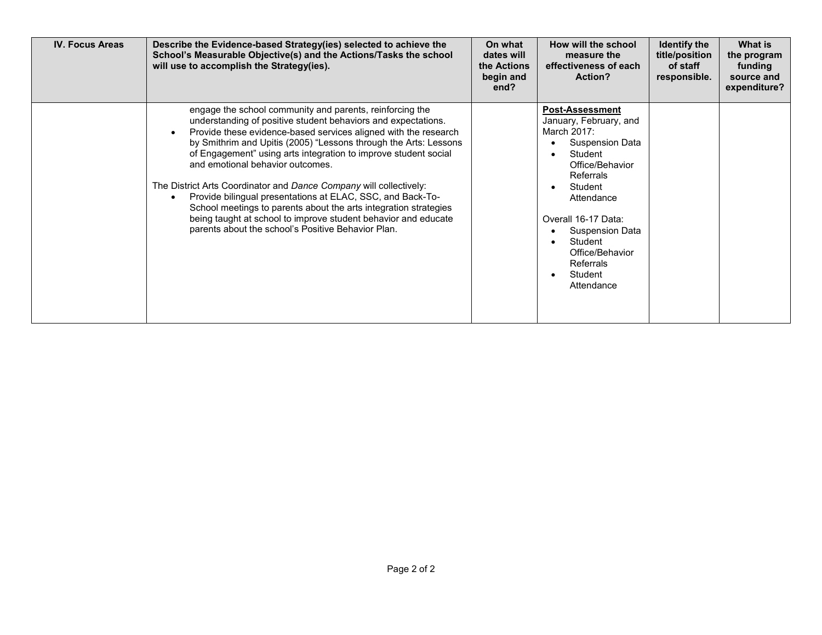| <b>IV. Focus Areas</b> | Describe the Evidence-based Strategy(ies) selected to achieve the<br>School's Measurable Objective(s) and the Actions/Tasks the school<br>will use to accomplish the Strategy(ies).                                                                                                                                                                                                                                                                                                                                                                                                                                                                                                                     | On what<br>dates will<br>the Actions<br>begin and<br>end? | How will the school<br>measure the<br>effectiveness of each<br>Action?                                                                                                                                                                                                      | <b>Identify the</b><br>title/position<br>of staff<br>responsible. | What is<br>the program<br>funding<br>source and<br>expenditure? |
|------------------------|---------------------------------------------------------------------------------------------------------------------------------------------------------------------------------------------------------------------------------------------------------------------------------------------------------------------------------------------------------------------------------------------------------------------------------------------------------------------------------------------------------------------------------------------------------------------------------------------------------------------------------------------------------------------------------------------------------|-----------------------------------------------------------|-----------------------------------------------------------------------------------------------------------------------------------------------------------------------------------------------------------------------------------------------------------------------------|-------------------------------------------------------------------|-----------------------------------------------------------------|
|                        | engage the school community and parents, reinforcing the<br>understanding of positive student behaviors and expectations.<br>Provide these evidence-based services aligned with the research<br>by Smithrim and Upitis (2005) "Lessons through the Arts: Lessons<br>of Engagement" using arts integration to improve student social<br>and emotional behavior outcomes.<br>The District Arts Coordinator and Dance Company will collectively:<br>Provide bilingual presentations at ELAC, SSC, and Back-To-<br>School meetings to parents about the arts integration strategies<br>being taught at school to improve student behavior and educate<br>parents about the school's Positive Behavior Plan. |                                                           | <b>Post-Assessment</b><br>January, February, and<br>March 2017:<br><b>Suspension Data</b><br>Student<br>Office/Behavior<br>Referrals<br>Student<br>Attendance<br>Overall 16-17 Data:<br>Suspension Data<br>Student<br>Office/Behavior<br>Referrals<br>Student<br>Attendance |                                                                   |                                                                 |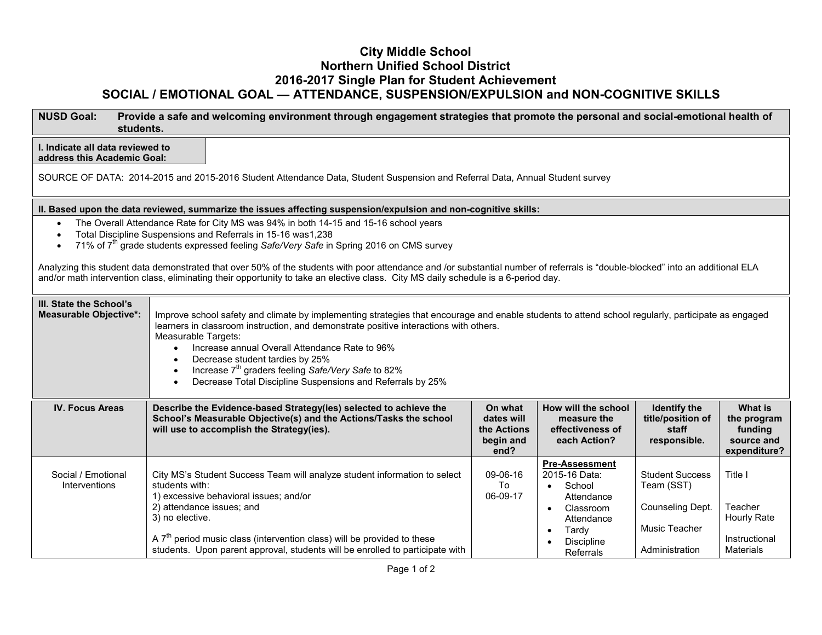## **City Middle School Northern Unified School District 2016-2017 Single Plan for Student Achievement SOCIAL / EMOTIONAL GOAL — ATTENDANCE, SUSPENSION/EXPULSION and NON-COGNITIVE SKILLS**

| <b>NUSD Goal:</b><br>students.                                                                                                                                                                  | Provide a safe and welcoming environment through engagement strategies that promote the personal and social-emotional health of                                                                                                                                                                                                                                                                                                                                                                                                                                                     |                                                           |                                                                                                                               |                                                                                             |                                                                        |  |  |  |  |  |
|-------------------------------------------------------------------------------------------------------------------------------------------------------------------------------------------------|-------------------------------------------------------------------------------------------------------------------------------------------------------------------------------------------------------------------------------------------------------------------------------------------------------------------------------------------------------------------------------------------------------------------------------------------------------------------------------------------------------------------------------------------------------------------------------------|-----------------------------------------------------------|-------------------------------------------------------------------------------------------------------------------------------|---------------------------------------------------------------------------------------------|------------------------------------------------------------------------|--|--|--|--|--|
| I. Indicate all data reviewed to<br>address this Academic Goal:<br>SOURCE OF DATA: 2014-2015 and 2015-2016 Student Attendance Data, Student Suspension and Referral Data, Annual Student survey |                                                                                                                                                                                                                                                                                                                                                                                                                                                                                                                                                                                     |                                                           |                                                                                                                               |                                                                                             |                                                                        |  |  |  |  |  |
| II. Based upon the data reviewed, summarize the issues affecting suspension/expulsion and non-cognitive skills:                                                                                 |                                                                                                                                                                                                                                                                                                                                                                                                                                                                                                                                                                                     |                                                           |                                                                                                                               |                                                                                             |                                                                        |  |  |  |  |  |
|                                                                                                                                                                                                 | The Overall Attendance Rate for City MS was 94% in both 14-15 and 15-16 school years<br>Total Discipline Suspensions and Referrals in 15-16 was1,238<br>71% of 7 <sup>th</sup> grade students expressed feeling Safe/Very Safe in Spring 2016 on CMS survey<br>Analyzing this student data demonstrated that over 50% of the students with poor attendance and /or substantial number of referrals is "double-blocked" into an additional ELA<br>and/or math intervention class, eliminating their opportunity to take an elective class. City MS daily schedule is a 6-period day. |                                                           |                                                                                                                               |                                                                                             |                                                                        |  |  |  |  |  |
| III. State the School's<br><b>Measurable Objective*:</b>                                                                                                                                        | Improve school safety and climate by implementing strategies that encourage and enable students to attend school regularly, participate as engaged<br>learners in classroom instruction, and demonstrate positive interactions with others.<br>Measurable Targets:<br>Increase annual Overall Attendance Rate to 96%<br>$\bullet$<br>Decrease student tardies by 25%<br>Increase 7 <sup>th</sup> graders feeling Safe/Very Safe to 82%<br>Decrease Total Discipline Suspensions and Referrals by 25%                                                                                |                                                           |                                                                                                                               |                                                                                             |                                                                        |  |  |  |  |  |
| <b>IV. Focus Areas</b>                                                                                                                                                                          | Describe the Evidence-based Strategy(ies) selected to achieve the<br>School's Measurable Objective(s) and the Actions/Tasks the school<br>will use to accomplish the Strategy(ies).                                                                                                                                                                                                                                                                                                                                                                                                 | On what<br>dates will<br>the Actions<br>begin and<br>end? | How will the school<br>measure the<br>effectiveness of<br>each Action?                                                        | <b>Identify the</b><br>title/position of<br>staff<br>responsible.                           | <b>What is</b><br>the program<br>funding<br>source and<br>expenditure? |  |  |  |  |  |
| Social / Emotional<br>Interventions                                                                                                                                                             | City MS's Student Success Team will analyze student information to select<br>students with:<br>1) excessive behavioral issues; and/or<br>2) attendance issues; and<br>3) no elective.<br>A $7th$ period music class (intervention class) will be provided to these<br>students. Upon parent approval, students will be enrolled to participate with                                                                                                                                                                                                                                 | 09-06-16<br>To<br>06-09-17                                | <b>Pre-Assessment</b><br>2015-16 Data:<br>School<br>Attendance<br>Classroom<br>Attendance<br>Tardy<br>Discipline<br>Referrals | <b>Student Success</b><br>Team (SST)<br>Counseling Dept.<br>Music Teacher<br>Administration | Title I<br>Teacher<br>Hourly Rate<br>Instructional<br><b>Materials</b> |  |  |  |  |  |